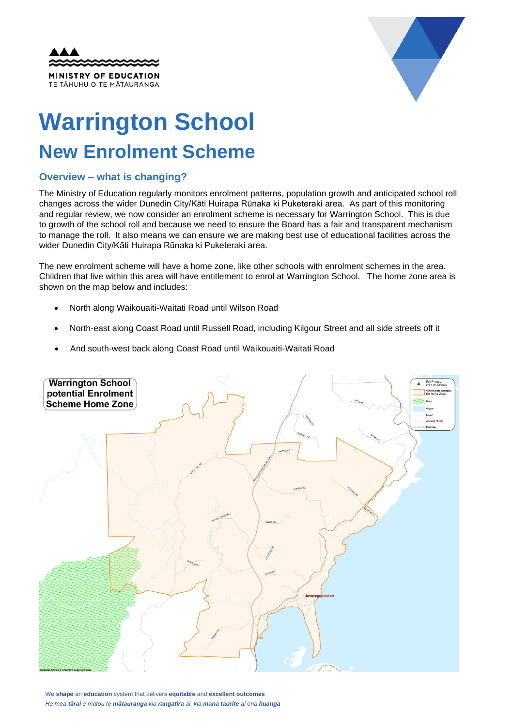



## **Warrington School New Enrolment Scheme**

## **Overview – what is changing?**

The Ministry of Education regularly monitors enrolment patterns, population growth and anticipated school roll changes across the wider Dunedin City/Kāti Huirapa Rūnaka ki Puketeraki area. As part of this monitoring and regular review, we now consider an enrolment scheme is necessary for Warrington School. This is due to growth of the school roll and because we need to ensure the Board has a fair and transparent mechanism to manage the roll. It also means we can ensure we are making best use of educational facilities across the wider Dunedin City/Kāti Huirapa Rūnaka ki Puketeraki area.

The new enrolment scheme will have a home zone, like other schools with enrolment schemes in the area. Children that live within this area will have entitlement to enrol at Warrington School. The home zone area is shown on the map below and includes:

- North along Waikouaiti-Waitati Road until Wilson Road
- North-east along Coast Road until Russell Road, including Kilgour Street and all side streets off it
- And south-west back along Coast Road until Waikouaiti-Waitati Road



We **shape** an **education** system that delivers **equitable** and **excellent outcomes** *He mea tārai e mātou te mātauranga kia rangatira ai, kia mana taurite ai ōna huanga*